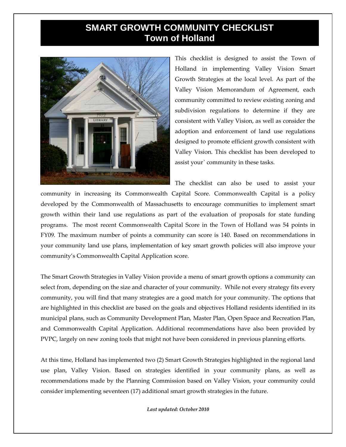## **SMART GROWTH COMMUNITY CHECKLIST Town of Holland**



This checklist is designed to assist the Town of Holland in implementing Valley Vision Smart Growth Strategies at the local level. As part of the Valley Vision Memorandum of Agreement, each community committed to review existing zoning and subdivision regulations to determine if they are consistent with Valley Vision, as well as consider the adoption and enforcement of land use regulations designed to promote efficient growth consistent with Valley Vision. This checklist has been developed to assist your` community in these tasks.

The checklist can also be used to assist your

community in increasing its Commonwealth Capital Score. Commonwealth Capital is a policy developed by the Commonwealth of Massachusetts to encourage communities to implement smart growth within their land use regulations as part of the evaluation of proposals for state funding programs. The most recent Commonwealth Capital Score in the Town of Holland was 54 points in FY09. The maximum number of points a community can score is 140. Based on recommendations in your community land use plans, implementation of key smart growth policies will also improve your community's Commonwealth Capital Application score.

The Smart Growth Strategies in Valley Vision provide a menu of smart growth options a community can select from, depending on the size and character of your community. While not every strategy fits every community, you will find that many strategies are a good match for your community. The options that are highlighted in this checklist are based on the goals and objectives Holland residents identified in its municipal plans, such as Community Development Plan, Master Plan, Open Space and Recreation Plan, and Commonwealth Capital Application. Additional recommendations have also been provided by PVPC, largely on new zoning tools that might not have been considered in previous planning efforts.

At this time, Holland has implemented two (2) Smart Growth Strategies highlighted in the regional land use plan, Valley Vision. Based on strategies identified in your community plans, as well as recommendations made by the Planning Commission based on Valley Vision, your community could consider implementing seventeen (17) additional smart growth strategies in the future.

*Last updated: October 2010*